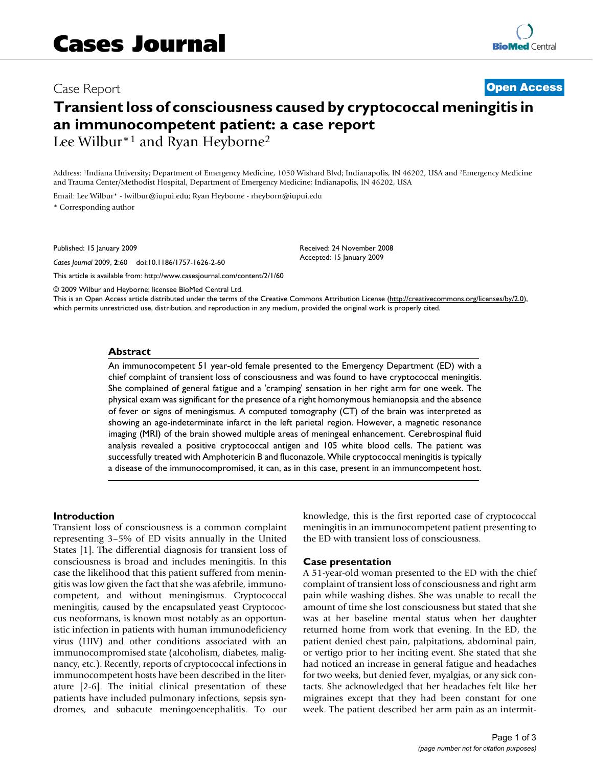# Case Report **[Open Access](http://www.biomedcentral.com/info/about/charter/) Transient loss of consciousness caused by cryptococcal meningitis in an immunocompetent patient: a case report** Lee Wilbur\*1 and Ryan Heyborne2

Address: 1Indiana University; Department of Emergency Medicine, 1050 Wishard Blvd; Indianapolis, IN 46202, USA and 2Emergency Medicine and Trauma Center/Methodist Hospital, Department of Emergency Medicine; Indianapolis, IN 46202, USA

Email: Lee Wilbur\* - lwilbur@iupui.edu; Ryan Heyborne - rheyborn@iupui.edu \* Corresponding author

Published: 15 January 2009

*Cases Journal* 2009, **2**:60 doi:10.1186/1757-1626-2-60

[This article is available from: http://www.casesjournal.com/content/2/1/60](http://www.casesjournal.com/content/2/1/60)

© 2009 Wilbur and Heyborne; licensee BioMed Central Ltd.

This is an Open Access article distributed under the terms of the Creative Commons Attribution License [\(http://creativecommons.org/licenses/by/2.0\)](http://creativecommons.org/licenses/by/2.0), which permits unrestricted use, distribution, and reproduction in any medium, provided the original work is properly cited.

#### **Abstract**

An immunocompetent 51 year-old female presented to the Emergency Department (ED) with a chief complaint of transient loss of consciousness and was found to have cryptococcal meningitis. She complained of general fatigue and a 'cramping' sensation in her right arm for one week. The physical exam was significant for the presence of a right homonymous hemianopsia and the absence of fever or signs of meningismus. A computed tomography (CT) of the brain was interpreted as showing an age-indeterminate infarct in the left parietal region. However, a magnetic resonance imaging (MRI) of the brain showed multiple areas of meningeal enhancement. Cerebrospinal fluid analysis revealed a positive cryptococcal antigen and 105 white blood cells. The patient was successfully treated with Amphotericin B and fluconazole. While cryptococcal meningitis is typically a disease of the immunocompromised, it can, as in this case, present in an immuncompetent host.

#### **Introduction**

Transient loss of consciousness is a common complaint representing 3–5% of ED visits annually in the United States [1]. The differential diagnosis for transient loss of consciousness is broad and includes meningitis. In this case the likelihood that this patient suffered from meningitis was low given the fact that she was afebrile, immunocompetent, and without meningismus. Cryptococcal meningitis, caused by the encapsulated yeast Cryptococcus neoformans, is known most notably as an opportunistic infection in patients with human immunodeficiency virus (HIV) and other conditions associated with an immunocompromised state (alcoholism, diabetes, malignancy, etc.). Recently, reports of cryptococcal infections in immunocompetent hosts have been described in the literature [2-6]. The initial clinical presentation of these patients have included pulmonary infections, sepsis syndromes, and subacute meningoencephalitis. To our knowledge, this is the first reported case of cryptococcal meningitis in an immunocompetent patient presenting to the ED with transient loss of consciousness.

#### **Case presentation**

Received: 24 November 2008 Accepted: 15 January 2009

A 51-year-old woman presented to the ED with the chief complaint of transient loss of consciousness and right arm pain while washing dishes. She was unable to recall the amount of time she lost consciousness but stated that she was at her baseline mental status when her daughter returned home from work that evening. In the ED, the patient denied chest pain, palpitations, abdominal pain, or vertigo prior to her inciting event. She stated that she had noticed an increase in general fatigue and headaches for two weeks, but denied fever, myalgias, or any sick contacts. She acknowledged that her headaches felt like her migraines except that they had been constant for one week. The patient described her arm pain as an intermit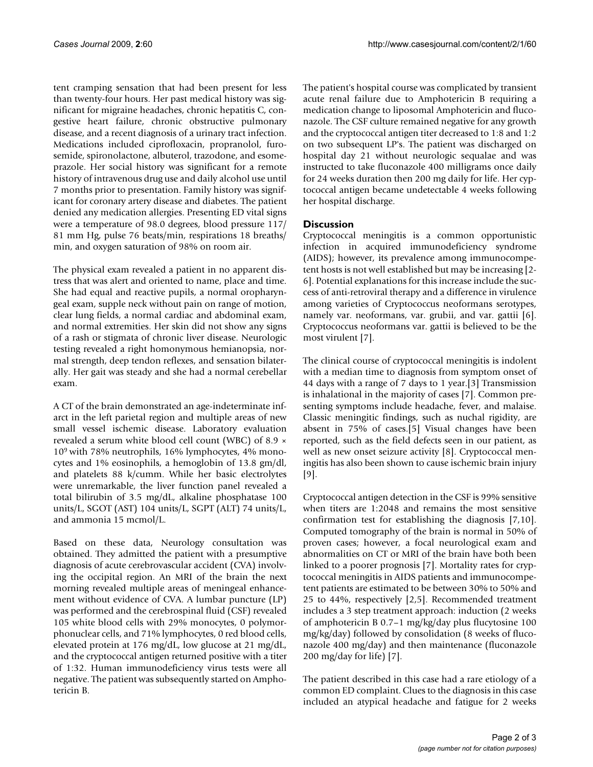tent cramping sensation that had been present for less than twenty-four hours. Her past medical history was significant for migraine headaches, chronic hepatitis C, congestive heart failure, chronic obstructive pulmonary disease, and a recent diagnosis of a urinary tract infection. Medications included ciprofloxacin, propranolol, furosemide, spironolactone, albuterol, trazodone, and esomeprazole. Her social history was significant for a remote history of intravenous drug use and daily alcohol use until 7 months prior to presentation. Family history was significant for coronary artery disease and diabetes. The patient denied any medication allergies. Presenting ED vital signs were a temperature of 98.0 degrees, blood pressure 117/ 81 mm Hg, pulse 76 beats/min, respirations 18 breaths/ min, and oxygen saturation of 98% on room air.

The physical exam revealed a patient in no apparent distress that was alert and oriented to name, place and time. She had equal and reactive pupils, a normal oropharyngeal exam, supple neck without pain on range of motion, clear lung fields, a normal cardiac and abdominal exam, and normal extremities. Her skin did not show any signs of a rash or stigmata of chronic liver disease. Neurologic testing revealed a right homonymous hemianopsia, normal strength, deep tendon reflexes, and sensation bilaterally. Her gait was steady and she had a normal cerebellar exam.

A CT of the brain demonstrated an age-indeterminate infarct in the left parietal region and multiple areas of new small vessel ischemic disease. Laboratory evaluation revealed a serum white blood cell count (WBC) of 8.9 × 109 with 78% neutrophils, 16% lymphocytes, 4% monocytes and 1% eosinophils, a hemoglobin of 13.8 gm/dl, and platelets 88 k/cumm. While her basic electrolytes were unremarkable, the liver function panel revealed a total bilirubin of 3.5 mg/dL, alkaline phosphatase 100 units/L, SGOT (AST) 104 units/L, SGPT (ALT) 74 units/L, and ammonia 15 mcmol/L.

Based on these data, Neurology consultation was obtained. They admitted the patient with a presumptive diagnosis of acute cerebrovascular accident (CVA) involving the occipital region. An MRI of the brain the next morning revealed multiple areas of meningeal enhancement without evidence of CVA. A lumbar puncture (LP) was performed and the cerebrospinal fluid (CSF) revealed 105 white blood cells with 29% monocytes, 0 polymorphonuclear cells, and 71% lymphocytes, 0 red blood cells, elevated protein at 176 mg/dL, low glucose at 21 mg/dL, and the cryptococcal antigen returned positive with a titer of 1:32. Human immunodeficiency virus tests were all negative. The patient was subsequently started on Amphotericin B.

The patient's hospital course was complicated by transient acute renal failure due to Amphotericin B requiring a medication change to liposomal Amphotericin and fluconazole. The CSF culture remained negative for any growth and the cryptococcal antigen titer decreased to 1:8 and 1:2 on two subsequent LP's. The patient was discharged on hospital day 21 without neurologic sequalae and was instructed to take fluconazole 400 milligrams once daily for 24 weeks duration then 200 mg daily for life. Her cyptococcal antigen became undetectable 4 weeks following her hospital discharge.

# **Discussion**

Cryptococcal meningitis is a common opportunistic infection in acquired immunodeficiency syndrome (AIDS); however, its prevalence among immunocompetent hosts is not well established but may be increasing [2- 6]. Potential explanations for this increase include the success of anti-retroviral therapy and a difference in virulence among varieties of Cryptococcus neoformans serotypes, namely var. neoformans, var. grubii, and var. gattii [6]. Cryptococcus neoformans var. gattii is believed to be the most virulent [7].

The clinical course of cryptococcal meningitis is indolent with a median time to diagnosis from symptom onset of 44 days with a range of 7 days to 1 year.[3] Transmission is inhalational in the majority of cases [7]. Common presenting symptoms include headache, fever, and malaise. Classic meningitic findings, such as nuchal rigidity, are absent in 75% of cases.[5] Visual changes have been reported, such as the field defects seen in our patient, as well as new onset seizure activity [8]. Cryptococcal meningitis has also been shown to cause ischemic brain injury [9].

Cryptococcal antigen detection in the CSF is 99% sensitive when titers are 1:2048 and remains the most sensitive confirmation test for establishing the diagnosis [7,10]. Computed tomography of the brain is normal in 50% of proven cases; however, a focal neurological exam and abnormalities on CT or MRI of the brain have both been linked to a poorer prognosis [7]. Mortality rates for cryptococcal meningitis in AIDS patients and immunocompetent patients are estimated to be between 30% to 50% and 25 to 44%, respectively [2,5]. Recommended treatment includes a 3 step treatment approach: induction (2 weeks of amphotericin B 0.7–1 mg/kg/day plus flucytosine 100 mg/kg/day) followed by consolidation (8 weeks of fluconazole 400 mg/day) and then maintenance (fluconazole 200 mg/day for life) [7].

The patient described in this case had a rare etiology of a common ED complaint. Clues to the diagnosis in this case included an atypical headache and fatigue for 2 weeks